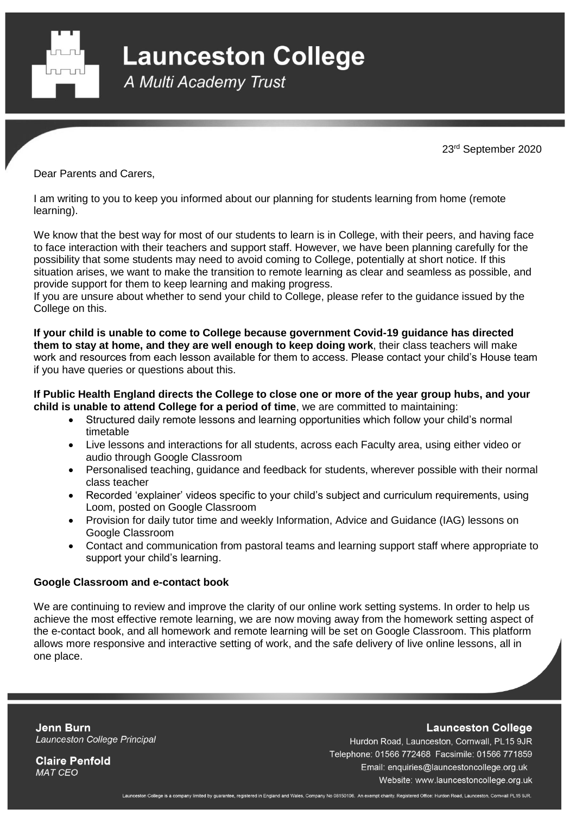

**Launceston College** 

A Multi Academy Trust

23rd September 2020

Dear Parents and Carers,

I am writing to you to keep you informed about our planning for students learning from home (remote learning).

We know that the best way for most of our students to learn is in College, with their peers, and having face to face interaction with their teachers and support staff. However, we have been planning carefully for the possibility that some students may need to avoid coming to College, potentially at short notice. If this situation arises, we want to make the transition to remote learning as clear and seamless as possible, and provide support for them to keep learning and making progress.

If you are unsure about whether to send your child to College, please refer to the guidance issued by the College on this.

**If your child is unable to come to College because government Covid-19 guidance has directed them to stay at home, and they are well enough to keep doing work**, their class teachers will make work and resources from each lesson available for them to access. Please contact your child's House team if you have queries or questions about this.

**If Public Health England directs the College to close one or more of the year group hubs, and your child is unable to attend College for a period of time**, we are committed to maintaining:

- Structured daily remote lessons and learning opportunities which follow your child's normal timetable
- Live lessons and interactions for all students, across each Faculty area, using either video or audio through Google Classroom
- Personalised teaching, guidance and feedback for students, wherever possible with their normal class teacher
- Recorded 'explainer' videos specific to your child's subject and curriculum requirements, using Loom, posted on Google Classroom
- Provision for daily tutor time and weekly Information, Advice and Guidance (IAG) lessons on Google Classroom
- Contact and communication from pastoral teams and learning support staff where appropriate to support your child's learning.

# **Google Classroom and e-contact book**

We are continuing to review and improve the clarity of our online work setting systems. In order to help us achieve the most effective remote learning, we are now moving away from the homework setting aspect of the e-contact book, and all homework and remote learning will be set on Google Classroom. This platform allows more responsive and interactive setting of work, and the safe delivery of live online lessons, all in one place.

**Jenn Burn** Launceston College Principal **Launceston College** 

**Claire Penfold MAT CEO** 

Hurdon Road, Launceston, Cornwall, PL15 9JR Telephone: 01566 772468 Facsimile: 01566 771859 Email: enquiries@launcestoncollege.org.uk Website: www.launcestoncollege.org.uk

Launceston College is a company limited by guarantee, registered in England and Wales, Company No 08150106. An exempt charity. Registered Office: Hurdon Road, Launceston, Cornwall PL15 9JR.